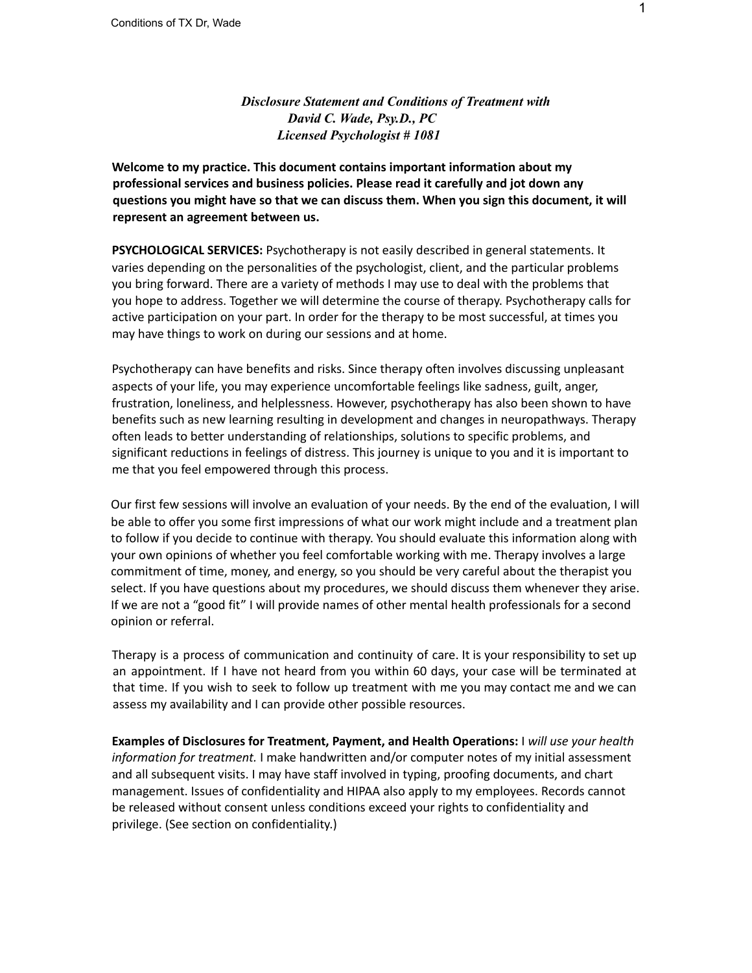*Disclosure Statement and Conditions of Treatment with David C. Wade, Psy.D., PC Licensed Psychologist # 1081*

**Welcome to my practice. This document contains important information about my professional services and business policies. Please read it carefully and jot down any questions you might have so that we can discuss them. When you sign this document, it will represent an agreement between us.**

**PSYCHOLOGICAL SERVICES:** Psychotherapy is not easily described in general statements. It varies depending on the personalities of the psychologist, client, and the particular problems you bring forward. There are a variety of methods I may use to deal with the problems that you hope to address. Together we will determine the course of therapy. Psychotherapy calls for active participation on your part. In order for the therapy to be most successful, at times you may have things to work on during our sessions and at home.

Psychotherapy can have benefits and risks. Since therapy often involves discussing unpleasant aspects of your life, you may experience uncomfortable feelings like sadness, guilt, anger, frustration, loneliness, and helplessness. However, psychotherapy has also been shown to have benefits such as new learning resulting in development and changes in neuropathways. Therapy often leads to better understanding of relationships, solutions to specific problems, and significant reductions in feelings of distress. This journey is unique to you and it is important to me that you feel empowered through this process.

Our first few sessions will involve an evaluation of your needs. By the end of the evaluation, I will be able to offer you some first impressions of what our work might include and a treatment plan to follow if you decide to continue with therapy. You should evaluate this information along with your own opinions of whether you feel comfortable working with me. Therapy involves a large commitment of time, money, and energy, so you should be very careful about the therapist you select. If you have questions about my procedures, we should discuss them whenever they arise. If we are not a "good fit" I will provide names of other mental health professionals for a second opinion or referral.

Therapy is a process of communication and continuity of care. It is your responsibility to set up an appointment. If I have not heard from you within 60 days, your case will be terminated at that time. If you wish to seek to follow up treatment with me you may contact me and we can assess my availability and I can provide other possible resources.

**Examples of Disclosures for Treatment, Payment, and Health Operations:** I *will use your health information for treatment.* I make handwritten and/or computer notes of my initial assessment and all subsequent visits. I may have staff involved in typing, proofing documents, and chart management. Issues of confidentiality and HIPAA also apply to my employees. Records cannot be released without consent unless conditions exceed your rights to confidentiality and privilege. (See section on confidentiality.)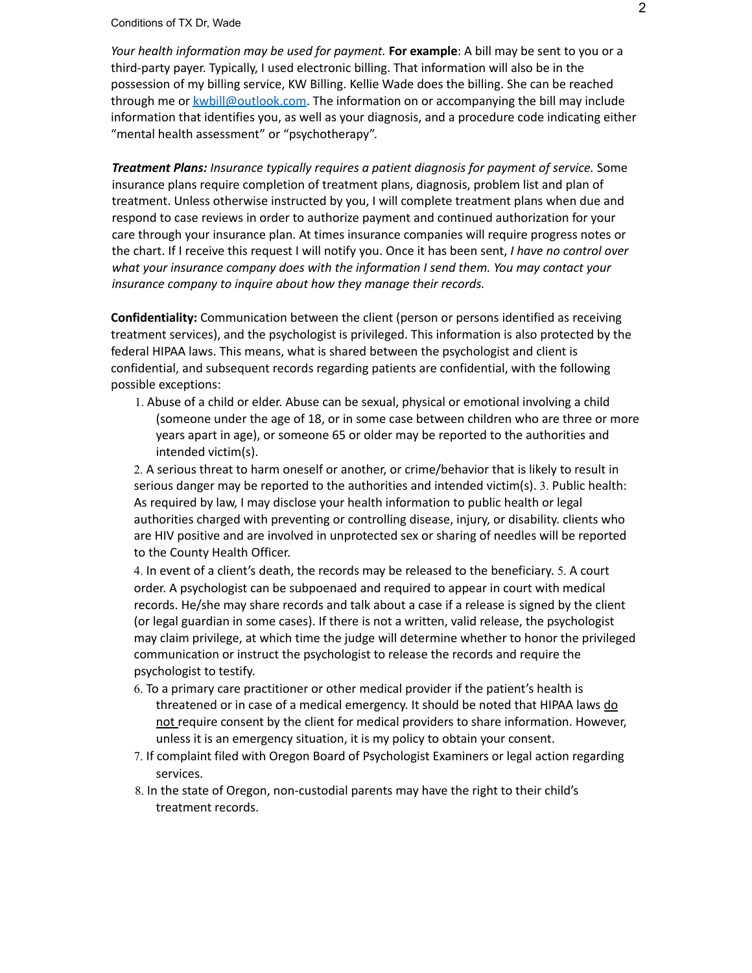## Conditions of TX Dr, Wade

*Your health information may be used for payment.* **For example**: A bill may be sent to you or a third-party payer. Typically, I used electronic billing. That information will also be in the possession of my billing service, KW Billing. Kellie Wade does the billing. She can be reached through me or **kwbill@outlook.com**. The information on or accompanying the bill may include information that identifies you, as well as your diagnosis, and a procedure code indicating either "mental health assessment" or "psychotherapy".

*Treatment Plans: Insurance typically requires a patient diagnosis for payment of service.* Some insurance plans require completion of treatment plans, diagnosis, problem list and plan of treatment. Unless otherwise instructed by you, I will complete treatment plans when due and respond to case reviews in order to authorize payment and continued authorization for your care through your insurance plan. At times insurance companies will require progress notes or the chart. If I receive this request I will notify you. Once it has been sent, *I have no control over what your insurance company does with the information I send them. You may contact your insurance company to inquire about how they manage their records.*

**Confidentiality:** Communication between the client (person or persons identified as receiving treatment services), and the psychologist is privileged. This information is also protected by the federal HIPAA laws. This means, what is shared between the psychologist and client is confidential, and subsequent records regarding patients are confidential, with the following possible exceptions:

1. Abuse of a child or elder. Abuse can be sexual, physical or emotional involving a child (someone under the age of 18, or in some case between children who are three or more years apart in age), or someone 65 or older may be reported to the authorities and intended victim(s).

2. A serious threat to harm oneself or another, or crime/behavior that is likely to result in serious danger may be reported to the authorities and intended victim(s). 3. Public health: As required by law, I may disclose your health information to public health or legal authorities charged with preventing or controlling disease, injury, or disability. clients who are HIV positive and are involved in unprotected sex or sharing of needles will be reported to the County Health Officer.

4. In event of a client's death, the records may be released to the beneficiary. 5. A court order. A psychologist can be subpoenaed and required to appear in court with medical records. He/she may share records and talk about a case if a release is signed by the client (or legal guardian in some cases). If there is not a written, valid release, the psychologist may claim privilege, at which time the judge will determine whether to honor the privileged communication or instruct the psychologist to release the records and require the psychologist to testify.

- 6. To a primary care practitioner or other medical provider if the patient's health is threatened or in case of a medical emergency. It should be noted that HIPAA laws do not require consent by the client for medical providers to share information. However, unless it is an emergency situation, it is my policy to obtain your consent.
- 7. If complaint filed with Oregon Board of Psychologist Examiners or legal action regarding services.
- 8. In the state of Oregon, non-custodial parents may have the right to their child's treatment records.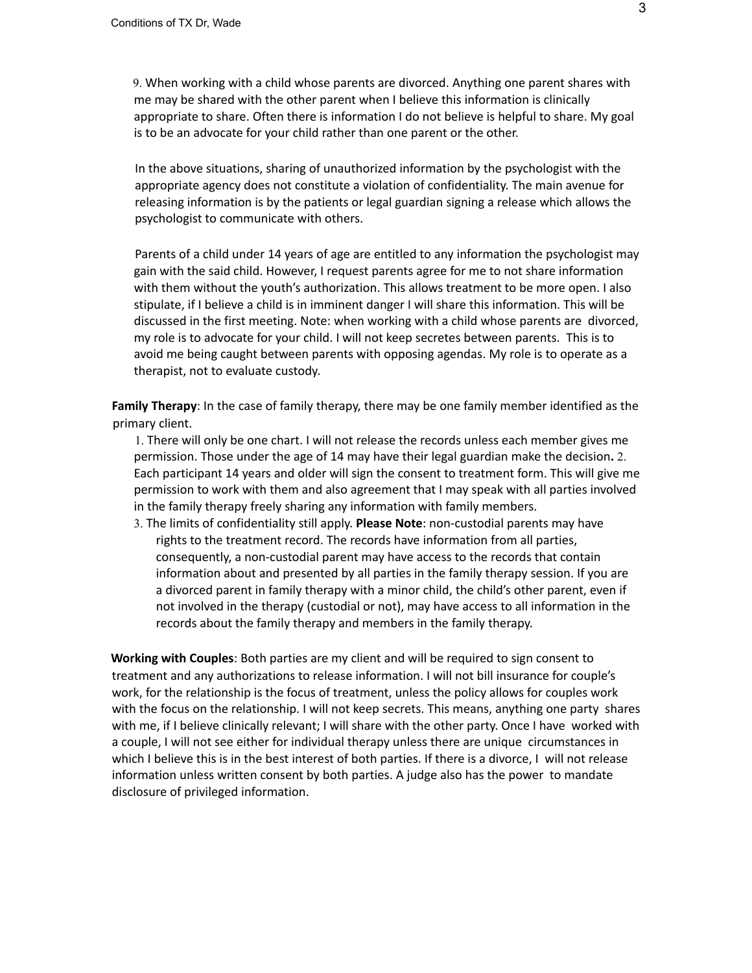9. When working with a child whose parents are divorced. Anything one parent shares with me may be shared with the other parent when I believe this information is clinically appropriate to share. Often there is information I do not believe is helpful to share. My goal is to be an advocate for your child rather than one parent or the other.

In the above situations, sharing of unauthorized information by the psychologist with the appropriate agency does not constitute a violation of confidentiality. The main avenue for releasing information is by the patients or legal guardian signing a release which allows the psychologist to communicate with others.

Parents of a child under 14 years of age are entitled to any information the psychologist may gain with the said child. However, I request parents agree for me to not share information with them without the youth's authorization. This allows treatment to be more open. I also stipulate, if I believe a child is in imminent danger I will share this information. This will be discussed in the first meeting. Note: when working with a child whose parents are divorced, my role is to advocate for your child. I will not keep secretes between parents. This is to avoid me being caught between parents with opposing agendas. My role is to operate as a therapist, not to evaluate custody.

**Family Therapy**: In the case of family therapy, there may be one family member identified as the primary client.

1. There will only be one chart. I will not release the records unless each member gives me permission. Those under the age of 14 may have their legal guardian make the decision**.** 2. Each participant 14 years and older will sign the consent to treatment form. This will give me permission to work with them and also agreement that I may speak with all parties involved in the family therapy freely sharing any information with family members.

3. The limits of confidentiality still apply. **Please Note**: non-custodial parents may have rights to the treatment record. The records have information from all parties, consequently, a non-custodial parent may have access to the records that contain information about and presented by all parties in the family therapy session. If you are a divorced parent in family therapy with a minor child, the child's other parent, even if not involved in the therapy (custodial or not), may have access to all information in the records about the family therapy and members in the family therapy.

**Working with Couples**: Both parties are my client and will be required to sign consent to treatment and any authorizations to release information. I will not bill insurance for couple's work, for the relationship is the focus of treatment, unless the policy allows for couples work with the focus on the relationship. I will not keep secrets. This means, anything one party shares with me, if I believe clinically relevant; I will share with the other party. Once I have worked with a couple, I will not see either for individual therapy unless there are unique circumstances in which I believe this is in the best interest of both parties. If there is a divorce, I will not release information unless written consent by both parties. A judge also has the power to mandate disclosure of privileged information.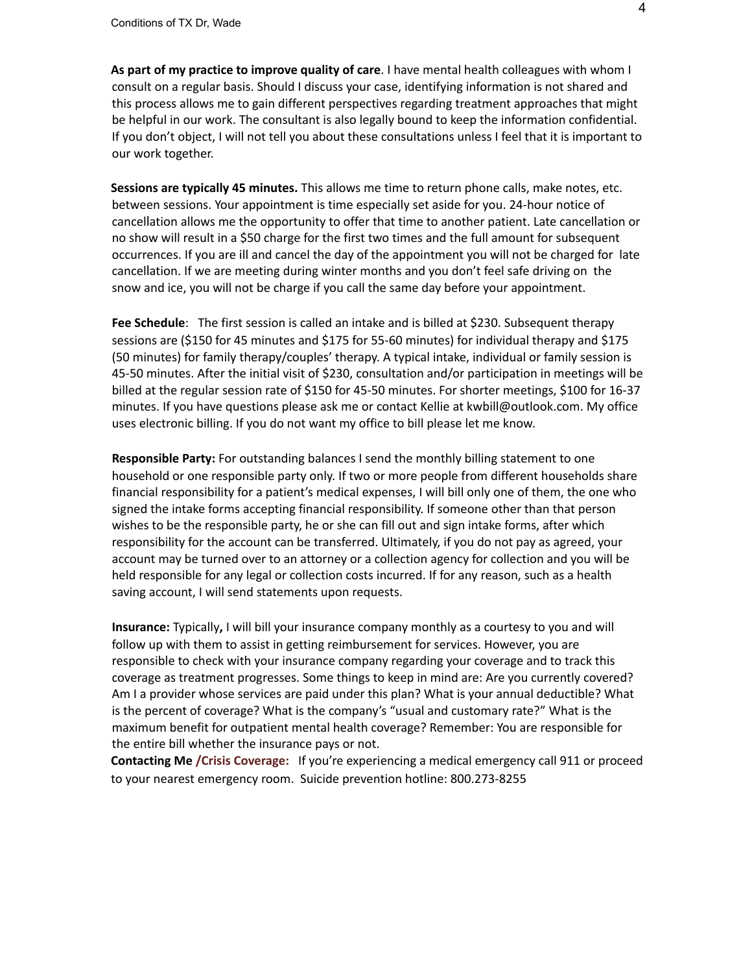**As part of my practice to improve quality of care**. I have mental health colleagues with whom I consult on a regular basis. Should I discuss your case, identifying information is not shared and this process allows me to gain different perspectives regarding treatment approaches that might be helpful in our work. The consultant is also legally bound to keep the information confidential. If you don't object, I will not tell you about these consultations unless I feel that it is important to our work together.

**Sessions are typically 45 minutes.** This allows me time to return phone calls, make notes, etc. between sessions. Your appointment is time especially set aside for you. 24-hour notice of cancellation allows me the opportunity to offer that time to another patient. Late cancellation or no show will result in a \$50 charge for the first two times and the full amount for subsequent occurrences. If you are ill and cancel the day of the appointment you will not be charged for late cancellation. If we are meeting during winter months and you don't feel safe driving on the snow and ice, you will not be charge if you call the same day before your appointment.

**Fee Schedule**: The first session is called an intake and is billed at \$230. Subsequent therapy sessions are (\$150 for 45 minutes and \$175 for 55-60 minutes) for individual therapy and \$175 (50 minutes) for family therapy/couples' therapy. A typical intake, individual or family session is 45-50 minutes. After the initial visit of \$230, consultation and/or participation in meetings will be billed at the regular session rate of \$150 for 45-50 minutes. For shorter meetings, \$100 for 16-37 minutes. If you have questions please ask me or contact Kellie at kwbill@outlook.com. My office uses electronic billing. If you do not want my office to bill please let me know.

**Responsible Party:** For outstanding balances I send the monthly billing statement to one household or one responsible party only. If two or more people from different households share financial responsibility for a patient's medical expenses, I will bill only one of them, the one who signed the intake forms accepting financial responsibility. If someone other than that person wishes to be the responsible party, he or she can fill out and sign intake forms, after which responsibility for the account can be transferred. Ultimately, if you do not pay as agreed, your account may be turned over to an attorney or a collection agency for collection and you will be held responsible for any legal or collection costs incurred. If for any reason, such as a health saving account, I will send statements upon requests.

**Insurance:** Typically**,** I will bill your insurance company monthly as a courtesy to you and will follow up with them to assist in getting reimbursement for services. However, you are responsible to check with your insurance company regarding your coverage and to track this coverage as treatment progresses. Some things to keep in mind are: Are you currently covered? Am I a provider whose services are paid under this plan? What is your annual deductible? What is the percent of coverage? What is the company's "usual and customary rate?" What is the maximum benefit for outpatient mental health coverage? Remember: You are responsible for the entire bill whether the insurance pays or not.

**Contacting Me /Crisis Coverage:** If you're experiencing a medical emergency call 911 or proceed to your nearest emergency room. Suicide prevention hotline: 800.273-8255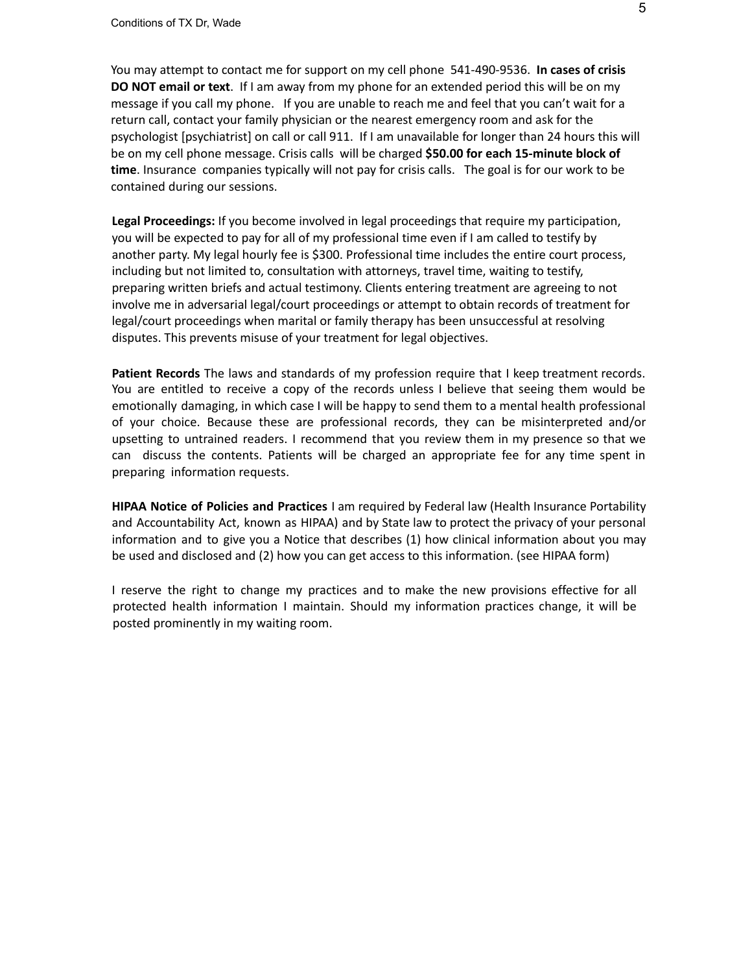You may attempt to contact me for support on my cell phone 541-490-9536. **In cases of crisis DO NOT email or text**. If I am away from my phone for an extended period this will be on my message if you call my phone. If you are unable to reach me and feel that you can't wait for a return call, contact your family physician or the nearest emergency room and ask for the psychologist [psychiatrist] on call or call 911. If I am unavailable for longer than 24 hours this will be on my cell phone message. Crisis calls will be charged **\$50.00 for each 15-minute block of time**. Insurance companies typically will not pay for crisis calls. The goal is for our work to be contained during our sessions.

**Legal Proceedings:** If you become involved in legal proceedings that require my participation, you will be expected to pay for all of my professional time even if I am called to testify by another party. My legal hourly fee is \$300. Professional time includes the entire court process, including but not limited to, consultation with attorneys, travel time, waiting to testify, preparing written briefs and actual testimony. Clients entering treatment are agreeing to not involve me in adversarial legal/court proceedings or attempt to obtain records of treatment for legal/court proceedings when marital or family therapy has been unsuccessful at resolving disputes. This prevents misuse of your treatment for legal objectives.

**Patient Records** The laws and standards of my profession require that I keep treatment records. You are entitled to receive a copy of the records unless I believe that seeing them would be emotionally damaging, in which case I will be happy to send them to a mental health professional of your choice. Because these are professional records, they can be misinterpreted and/or upsetting to untrained readers. I recommend that you review them in my presence so that we can discuss the contents. Patients will be charged an appropriate fee for any time spent in preparing information requests.

**HIPAA Notice of Policies and Practices** I am required by Federal law (Health Insurance Portability and Accountability Act, known as HIPAA) and by State law to protect the privacy of your personal information and to give you a Notice that describes (1) how clinical information about you may be used and disclosed and (2) how you can get access to this information. (see HIPAA form)

I reserve the right to change my practices and to make the new provisions effective for all protected health information I maintain. Should my information practices change, it will be posted prominently in my waiting room.